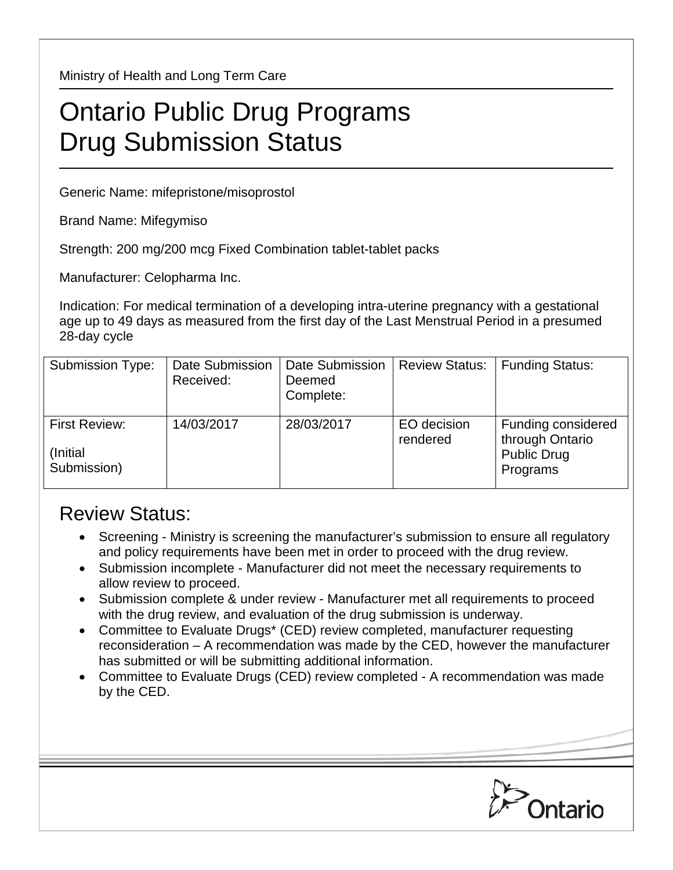Ministry of Health and Long Term Care

## Ontario Public Drug Programs Drug Submission Status

Generic Name: mifepristone/misoprostol

Brand Name: Mifegymiso

Strength: 200 mg/200 mcg Fixed Combination tablet-tablet packs

Manufacturer: Celopharma Inc.

Indication: For medical termination of a developing intra-uterine pregnancy with a gestational age up to 49 days as measured from the first day of the Last Menstrual Period in a presumed 28-day cycle

| <b>Submission Type:</b>                          | Date Submission<br>Received: | Date Submission<br>Deemed<br>Complete: | <b>Review Status:</b>   | <b>Funding Status:</b>                                                  |
|--------------------------------------------------|------------------------------|----------------------------------------|-------------------------|-------------------------------------------------------------------------|
| <b>First Review:</b><br>(Initial)<br>Submission) | 14/03/2017                   | 28/03/2017                             | EO decision<br>rendered | Funding considered<br>through Ontario<br><b>Public Drug</b><br>Programs |

## Review Status:

- Screening Ministry is screening the manufacturer's submission to ensure all regulatory and policy requirements have been met in order to proceed with the drug review.
- Submission incomplete Manufacturer did not meet the necessary requirements to allow review to proceed.
- Submission complete & under review Manufacturer met all requirements to proceed with the drug review, and evaluation of the drug submission is underway.
- Committee to Evaluate Drugs\* (CED) review completed, manufacturer requesting reconsideration – A recommendation was made by the CED, however the manufacturer has submitted or will be submitting additional information.
- Committee to Evaluate Drugs (CED) review completed A recommendation was made by the CED.